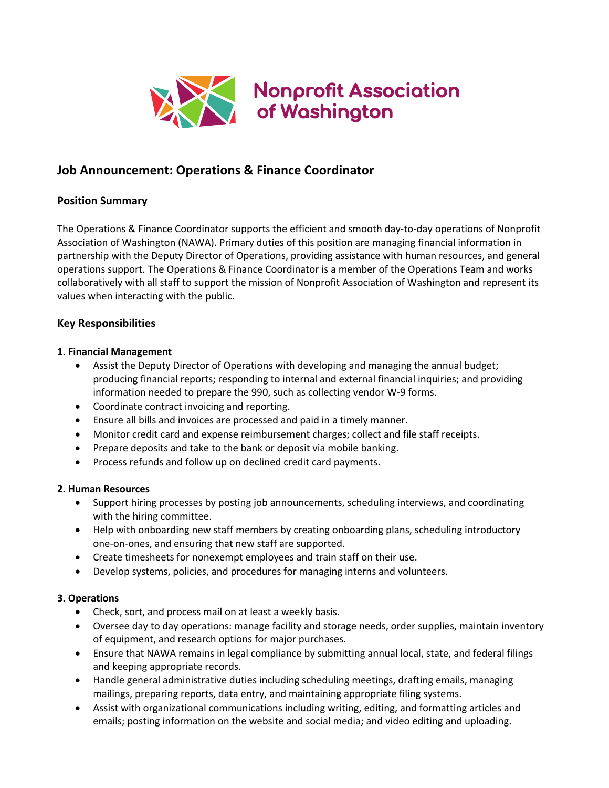

# **Job Announcement: Operations & Finance Coordinator**

# **Position Summary**

The Operations & Finance Coordinator supports the efficient and smooth day-to-day operations of Nonprofit Association of Washington (NAWA). Primary duties of this position are managing financial information in partnership with the Deputy Director of Operations, providing assistance with human resources, and general operations support. The Operations & Finance Coordinator is a member of the Operations Team and works collaboratively with all staff to support the mission of Nonprofit Association of Washington and represent its values when interacting with the public.

# **Key Responsibilities**

# **1. Financial Management**

- Assist the Deputy Director of Operations with developing and managing the annual budget; producing financial reports; responding to internal and external financial inquiries; and providing information needed to prepare the 990, such as collecting vendor W-9 forms.
- Coordinate contract invoicing and reporting.
- Ensure all bills and invoices are processed and paid in a timely manner.
- Monitor credit card and expense reimbursement charges; collect and file staff receipts.
- Prepare deposits and take to the bank or deposit via mobile banking.
- Process refunds and follow up on declined credit card payments.

## **2. Human Resources**

- Support hiring processes by posting job announcements, scheduling interviews, and coordinating with the hiring committee.
- Help with onboarding new staff members by creating onboarding plans, scheduling introductory one-on-ones, and ensuring that new staff are supported.
- Create timesheets for nonexempt employees and train staff on their use.
- Develop systems, policies, and procedures for managing interns and volunteers.

# **3. Operations**

- Check, sort, and process mail on at least a weekly basis.
- Oversee day to day operations: manage facility and storage needs, order supplies, maintain inventory of equipment, and research options for major purchases.
- Ensure that NAWA remains in legal compliance by submitting annual local, state, and federal filings and keeping appropriate records.
- Handle general administrative duties including scheduling meetings, drafting emails, managing mailings, preparing reports, data entry, and maintaining appropriate filing systems.
- Assist with organizational communications including writing, editing, and formatting articles and emails; posting information on the website and social media; and video editing and uploading.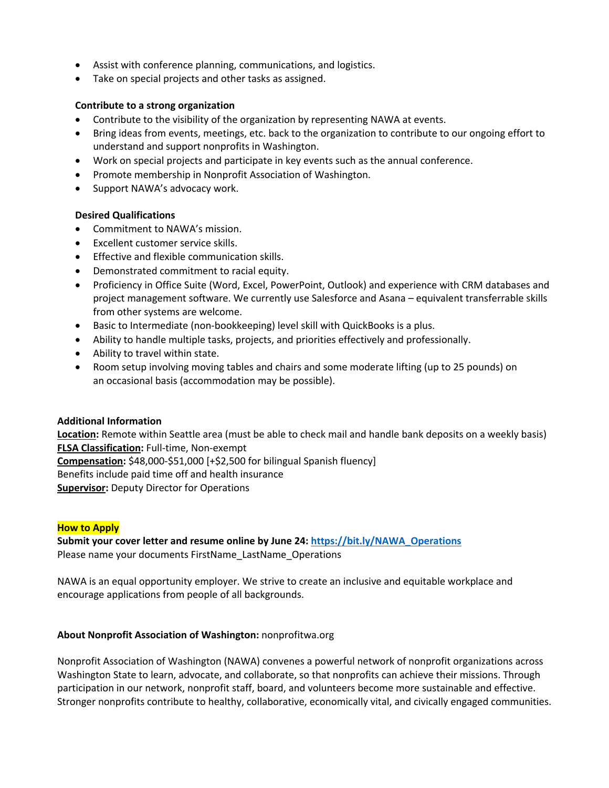- Assist with conference planning, communications, and logistics.
- Take on special projects and other tasks as assigned.

# **Contribute to a strong organization**

- Contribute to the visibility of the organization by representing NAWA at events.
- Bring ideas from events, meetings, etc. back to the organization to contribute to our ongoing effort to understand and support nonprofits in Washington.
- Work on special projects and participate in key events such as the annual conference.
- Promote membership in Nonprofit Association of Washington.
- Support NAWA's advocacy work.

# **Desired Qualifications**

- Commitment to NAWA's mission.
- Excellent customer service skills.
- Effective and flexible communication skills.
- Demonstrated commitment to racial equity.
- Proficiency in Office Suite (Word, Excel, PowerPoint, Outlook) and experience with CRM databases and project management software. We currently use Salesforce and Asana – equivalent transferrable skills from other systems are welcome.
- Basic to Intermediate (non-bookkeeping) level skill with QuickBooks is a plus.
- Ability to handle multiple tasks, projects, and priorities effectively and professionally.
- Ability to travel within state.
- Room setup involving moving tables and chairs and some moderate lifting (up to 25 pounds) on an occasional basis (accommodation may be possible).

## **Additional Information**

**Location:** Remote within Seattle area (must be able to check mail and handle bank deposits on a weekly basis) **FLSA Classification:** Full-time, Non-exempt **Compensation:** \$48,000-\$51,000 [+\$2,500 for bilingual Spanish fluency] Benefits include paid time off and health insurance **Supervisor:** Deputy Director for Operations

## **How to Apply**

**Submit your cover letter and resume online by June 24: https://bit.ly/NAWA\_Operations** Please name your documents FirstName\_LastName\_Operations

NAWA is an equal opportunity employer. We strive to create an inclusive and equitable workplace and encourage applications from people of all backgrounds.

## **About Nonprofit Association of Washington:** nonprofitwa.org

Nonprofit Association of Washington (NAWA) convenes a powerful network of nonprofit organizations across Washington State to learn, advocate, and collaborate, so that nonprofits can achieve their missions. Through participation in our network, nonprofit staff, board, and volunteers become more sustainable and effective. Stronger nonprofits contribute to healthy, collaborative, economically vital, and civically engaged communities.